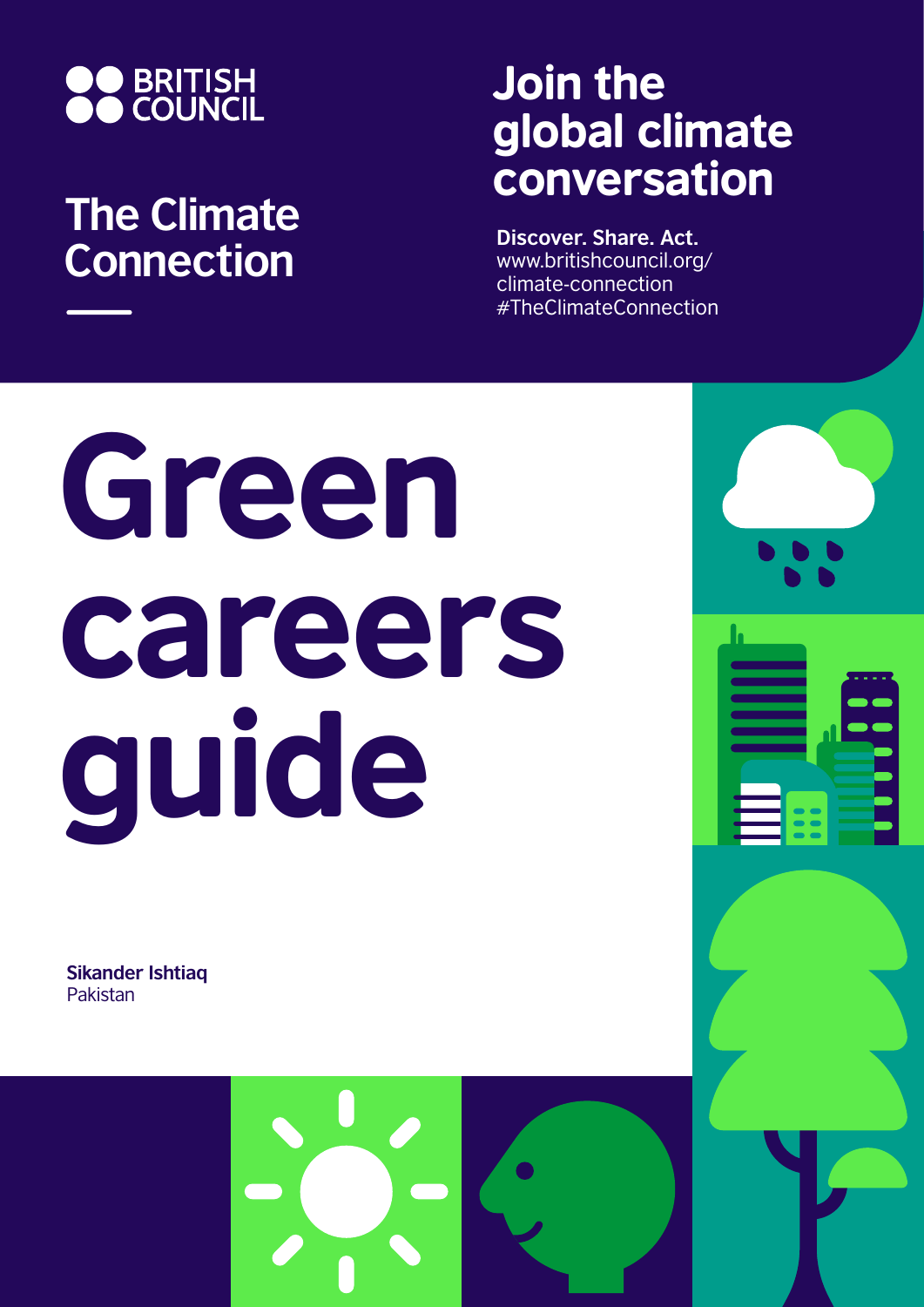

## **The Climate Connection**

## Join the global climate conversation

**Discover. Share. Act.** www.britishcouncil.org/ climate-connection #TheClimateConnection

## Green careers guide

**Sikander Ishtiaq** Pakistan